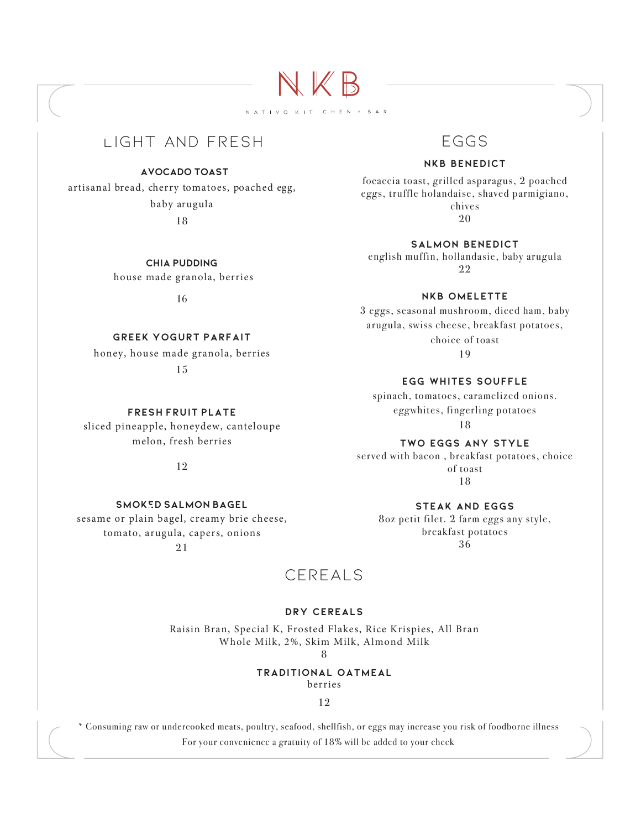light and fresh

### **Avocado toast**

artisanal bread, cherry tomatoes, poached egg, baby arugula

18

**Chia pudding** house made granola, berries

16

### **greek Yogurt parfait**

honey, house made granola, berries 15

**fresh fruit plate**

sliced pineapple, honeydew, canteloupe melon, fresh berries

12

**smoked salmon bagel**

sesame or plain bagel, creamy brie cheese, tomato, arugula, capers, onions

21

### eggs

### **nkb benedict**

focaccia toast, grilled asparagus, 2 poached eggs, truffle holandaise, shaved parmigiano, chives 20

**salmon benedict**

english muffin, hollandasie, baby arugula 22

**nkb omelette**

3 eggs, seasonal mushroom, diced ham, baby arugula, swiss cheese, breakfast potatoes, choice of toast 19

### **egg whites souffle**

spinach, tomatoes, caramelized onions. eggwhites, fingerling potatoes

18

### **TWO eggs any style**

served with bacon , breakfast potatoes, choice of toast 18

**steak and eggs**

8oz petit filet. 2 farm eggs any style, breakfast potatoes 36

### cereals

NKB

NATIVO KIT CHEN + BAR

### **dry cereals**

Raisin Bran, Special K, Frosted Flakes, Rice Krispies, All Bran Whole Milk, 2%, Skim Milk, Almond Milk

8

#### **traditional oatmeal**

berries

12

\* Consuming raw or undercooked meats, poultry, seafood, shellfish, or eggs may increase you risk of foodborne illness For your convenience a gratuity of 18% will be added to your check